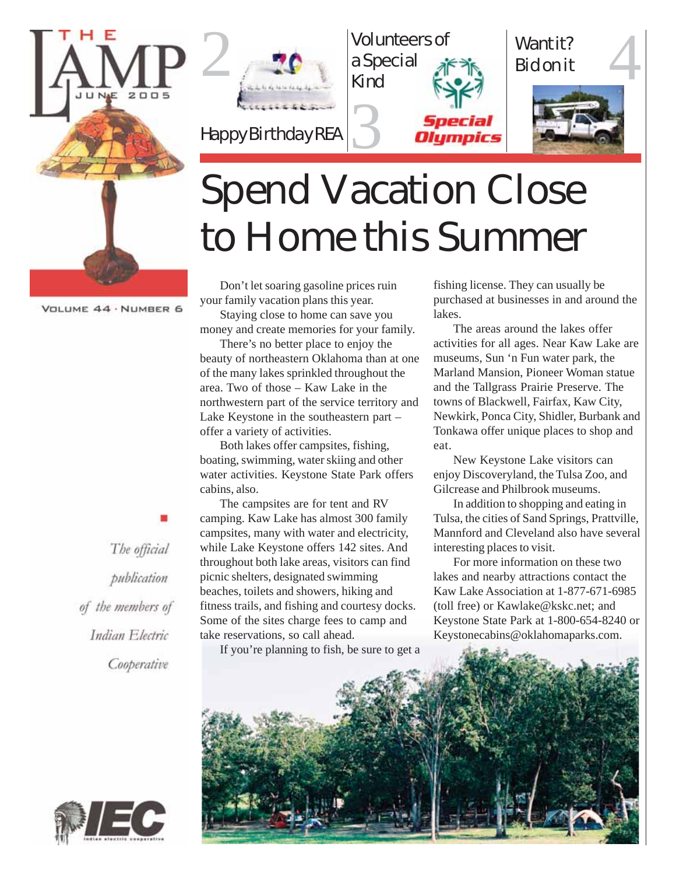





# Spend Vacation Close to Home this Summer

Don't let soaring gasoline prices ruin your family vacation plans this year.

Staying close to home can save you money and create memories for your family.

There's no better place to enjoy the beauty of northeastern Oklahoma than at one of the many lakes sprinkled throughout the area. Two of those – Kaw Lake in the northwestern part of the service territory and Lake Keystone in the southeastern part – offer a variety of activities.

Both lakes offer campsites, fishing, boating, swimming, water skiing and other water activities. Keystone State Park offers cabins, also.

The campsites are for tent and RV camping. Kaw Lake has almost 300 family campsites, many with water and electricity, while Lake Keystone offers 142 sites. And throughout both lake areas, visitors can find picnic shelters, designated swimming beaches, toilets and showers, hiking and fitness trails, and fishing and courtesy docks. Some of the sites charge fees to camp and take reservations, so call ahead.

If you're planning to fish, be sure to get a

fishing license. They can usually be purchased at businesses in and around the lakes.

The areas around the lakes offer activities for all ages. Near Kaw Lake are museums, Sun 'n Fun water park, the Marland Mansion, Pioneer Woman statue and the Tallgrass Prairie Preserve. The towns of Blackwell, Fairfax, Kaw City, Newkirk, Ponca City, Shidler, Burbank and Tonkawa offer unique places to shop and eat.

New Keystone Lake visitors can enjoy Discoveryland, the Tulsa Zoo, and Gilcrease and Philbrook museums.

In addition to shopping and eating in Tulsa, the cities of Sand Springs, Prattville, Mannford and Cleveland also have several interesting places to visit.

For more information on these two lakes and nearby attractions contact the Kaw Lake Association at 1-877-671-6985 (toll free) or Kawlake@kskc.net; and Keystone State Park at 1-800-654-8240 or Keystonecabins@oklahomaparks.com.



The official publication of the members of Indian Electric Cooperative

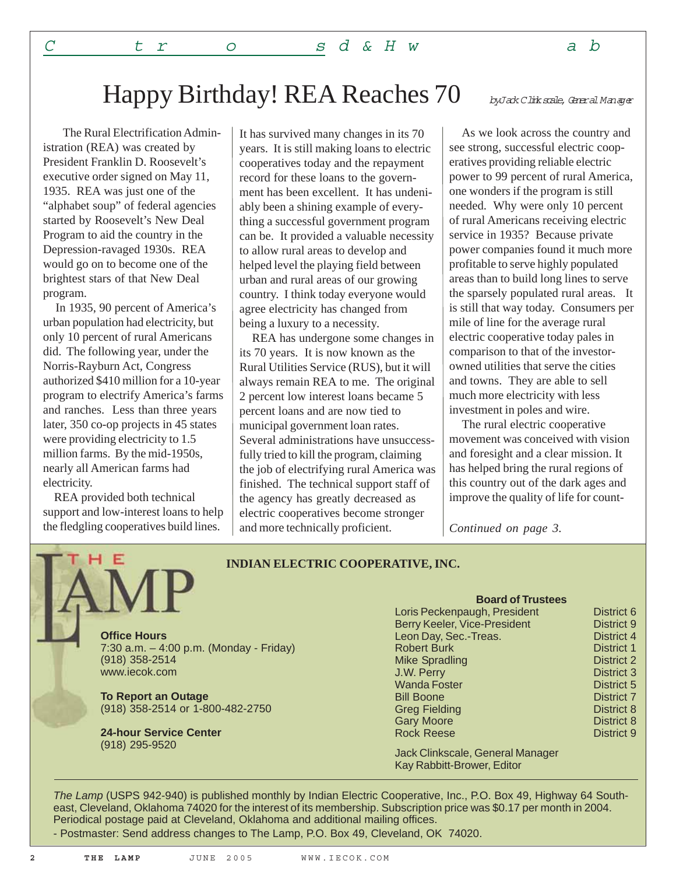The Rural Electrification Administration (REA) was created by President Franklin D. Roosevelt's executive order signed on May 11, 1935. REA was just one of the "alphabet soup" of federal agencies started by Roosevelt's New Deal Program to aid the country in the Depression-ravaged 1930s. REA would go on to become one of the brightest stars of that New Deal program.

 In 1935, 90 percent of America's urban population had electricity, but only 10 percent of rural Americans did. The following year, under the Norris-Rayburn Act, Congress authorized \$410 million for a 10-year program to electrify America's farms and ranches. Less than three years later, 350 co-op projects in 45 states were providing electricity to 1.5 million farms. By the mid-1950s, nearly all American farms had electricity.

 REA provided both technical support and low-interest loans to help the fledgling cooperatives build lines.

It has survived many changes in its 70 years. It is still making loans to electric cooperatives today and the repayment record for these loans to the government has been excellent. It has undeniably been a shining example of everything a successful government program can be. It provided a valuable necessity to allow rural areas to develop and helped level the playing field between urban and rural areas of our growing country. I think today everyone would agree electricity has changed from being a luxury to a necessity.

 REA has undergone some changes in its 70 years. It is now known as the Rural Utilities Service (RUS), but it will always remain REA to me. The original 2 percent low interest loans became 5 percent loans and are now tied to municipal government loan rates. Several administrations have unsuccessfully tried to kill the program, claiming the job of electrifying rural America was finished. The technical support staff of the agency has greatly decreased as electric cooperatives become stronger and more technically proficient.

byJack Clinkscale, General Manager

 As we look across the country and see strong, successful electric cooperatives providing reliable electric power to 99 percent of rural America, one wonders if the program is still needed. Why were only 10 percent of rural Americans receiving electric service in 1935? Because private power companies found it much more profitable to serve highly populated areas than to build long lines to serve the sparsely populated rural areas. It is still that way today. Consumers per mile of line for the average rural electric cooperative today pales in comparison to that of the investorowned utilities that serve the cities and towns. They are able to sell much more electricity with less investment in poles and wire.

 The rural electric cooperative movement was conceived with vision and foresight and a clear mission. It has helped bring the rural regions of this country out of the dark ages and improve the quality of life for count-

*Continued on page 3.*

### **INDIAN ELECTRIC COOPERATIVE, INC.**

**Office Hours** 7:30 a.m. – 4:00 p.m. (Monday - Friday) (918) 358-2514 www.iecok.com

**To Report an Outage** (918) 358-2514 or 1-800-482-2750

**24-hour Service Center** (918) 295-9520

#### **Board of Trustees**

| Loris Peckenpaugh, President | District 6        |
|------------------------------|-------------------|
| Berry Keeler, Vice-President | <b>District 9</b> |
| Leon Day, Sec.-Treas.        | District 4        |
| <b>Robert Burk</b>           | <b>District 1</b> |
| <b>Mike Spradling</b>        | <b>District 2</b> |
| J.W. Perry                   | <b>District 3</b> |
| <b>Wanda Foster</b>          | <b>District 5</b> |
| <b>Bill Boone</b>            | <b>District 7</b> |
| <b>Greg Fielding</b>         | <b>District 8</b> |
| <b>Gary Moore</b>            | <b>District 8</b> |
| <b>Rock Reese</b>            | District 9        |
|                              |                   |

Jack Clinkscale, General Manager Kay Rabbitt-Brower, Editor

*The Lamp* (USPS 942-940) is published monthly by Indian Electric Cooperative, Inc., P.O. Box 49, Highway 64 Southeast, Cleveland, Oklahoma 74020 for the interest of its membership. Subscription price was \$0.17 per month in 2004. Periodical postage paid at Cleveland, Oklahoma and additional mailing offices.

- Postmaster: Send address changes to The Lamp, P.O. Box 49, Cleveland, OK 74020.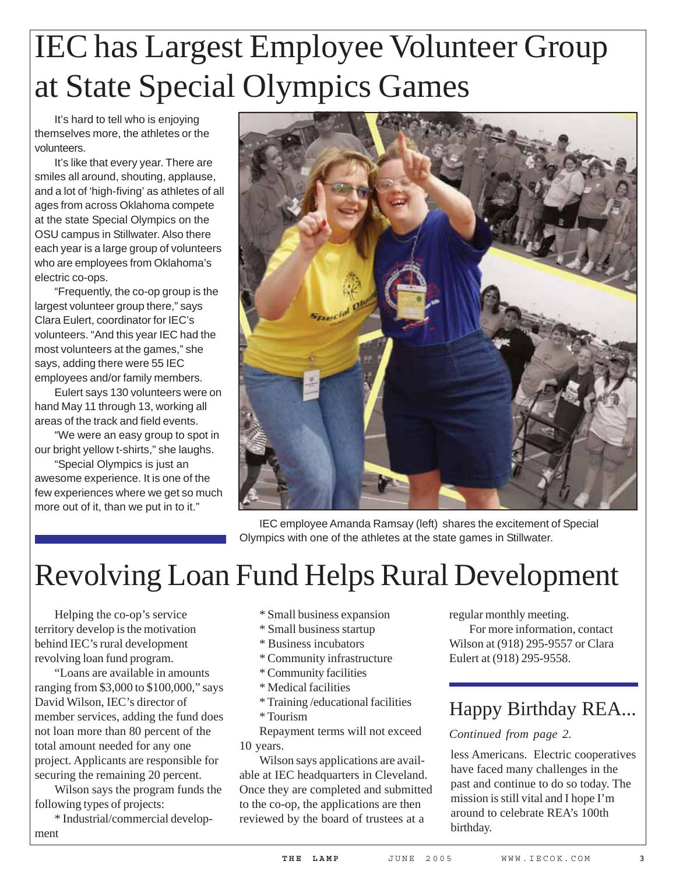# IEC has Largest Employee Volunteer Group at State Special Olympics Games

It's hard to tell who is enjoying themselves more, the athletes or the volunteers.

It's like that every year. There are smiles all around, shouting, applause, and a lot of 'high-fiving' as athletes of all ages from across Oklahoma compete at the state Special Olympics on the OSU campus in Stillwater. Also there each year is a large group of volunteers who are employees from Oklahoma's electric co-ops.

"Frequently, the co-op group is the largest volunteer group there," says Clara Eulert, coordinator for IEC's volunteers. "And this year IEC had the most volunteers at the games," she says, adding there were 55 IEC employees and/or family members.

Eulert says 130 volunteers were on hand May 11 through 13, working all areas of the track and field events.

"We were an easy group to spot in our bright yellow t-shirts," she laughs.

"Special Olympics is just an awesome experience. It is one of the few experiences where we get so much more out of it, than we put in to it."



IEC employee Amanda Ramsay (left) shares the excitement of Special Olympics with one of the athletes at the state games in Stillwater.

## Revolving Loan Fund Helps Rural Development

Helping the co-op's service territory develop is the motivation behind IEC's rural development revolving loan fund program.

"Loans are available in amounts ranging from \$3,000 to \$100,000," says David Wilson, IEC's director of member services, adding the fund does not loan more than 80 percent of the total amount needed for any one project. Applicants are responsible for securing the remaining 20 percent.

Wilson says the program funds the following types of projects:

\* Industrial/commercial development

- \* Small business expansion
- \* Small business startup
- \* Business incubators
- \* Community infrastructure
- \* Community facilities
- \* Medical facilities
- \* Training /educational facilities
- \* Tourism

Repayment terms will not exceed 10 years.

Wilson says applications are available at IEC headquarters in Cleveland. Once they are completed and submitted to the co-op, the applications are then reviewed by the board of trustees at a

regular monthly meeting. For more information, contact Wilson at (918) 295-9557 or Clara Eulert at (918) 295-9558.

### Happy Birthday REA...

### *Continued from page 2.*

less Americans. Electric cooperatives have faced many challenges in the past and continue to do so today. The mission is still vital and I hope I'm around to celebrate REA's 100th birthday.